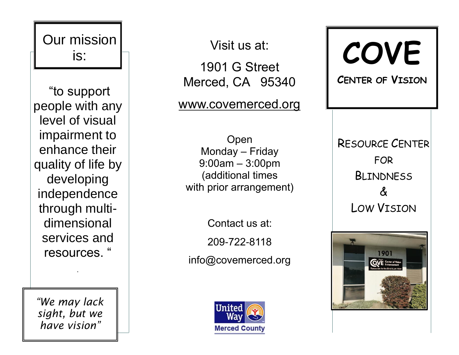

*"We may lack sight, but we have vision"*

Visit us at:

1901 G Street Merced, CA 9534 0

[www.covemerced.org](http://www.covemerced.org/)

Open Monday – Friday 9:00am – 3:00pm (additional times with prior arrangement)

Contact us at: 209 -722 -8118 info@covemerced.org



**COVE CENTER OF VISION** 

RESOURCE CENTER FOR **BILINDNESS**  $\boldsymbol{\delta}$ LOW VISION